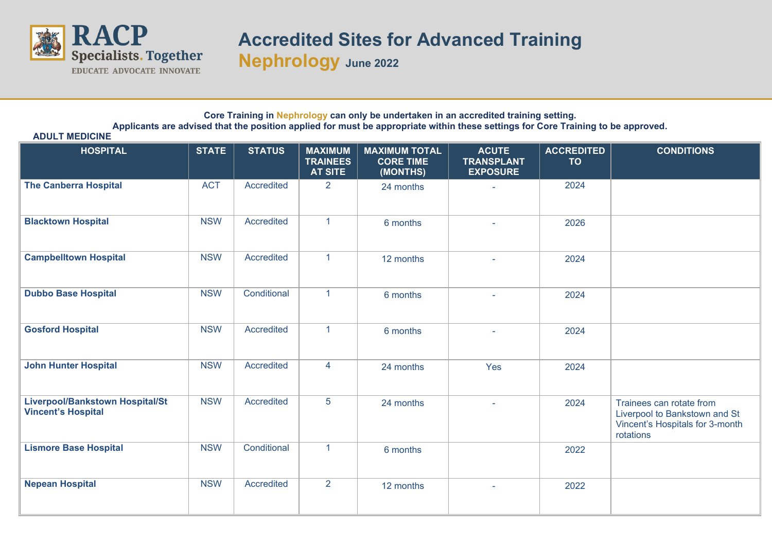

**ADULT MEDICINE**

# **Accredited Sites for Advanced Training**

**Nephrology June 2022**

#### **Core Training in Nephrology can only be undertaken in an accredited training setting. Applicants are advised that the position applied for must be appropriate within these settings for Core Training to be approved.**

| <b>HOSPITAL</b>                                                     | <b>STATE</b> | <b>STATUS</b>     | <b>MAXIMUM</b><br><b>TRAINEES</b><br><b>AT SITE</b> | <b>MAXIMUM TOTAL</b><br><b>CORE TIME</b><br>(MONTHS) | <b>ACUTE</b><br><b>TRANSPLANT</b><br><b>EXPOSURE</b> | <b>ACCREDITED</b><br><b>TO</b> | <b>CONDITIONS</b>                                                                                         |
|---------------------------------------------------------------------|--------------|-------------------|-----------------------------------------------------|------------------------------------------------------|------------------------------------------------------|--------------------------------|-----------------------------------------------------------------------------------------------------------|
| <b>The Canberra Hospital</b>                                        | <b>ACT</b>   | Accredited        | $\overline{2}$                                      | 24 months                                            |                                                      | 2024                           |                                                                                                           |
| <b>Blacktown Hospital</b>                                           | <b>NSW</b>   | <b>Accredited</b> | 1                                                   | 6 months                                             |                                                      | 2026                           |                                                                                                           |
| <b>Campbelltown Hospital</b>                                        | <b>NSW</b>   | Accredited        | $\mathbf{1}$                                        | 12 months                                            |                                                      | 2024                           |                                                                                                           |
| <b>Dubbo Base Hospital</b>                                          | <b>NSW</b>   | Conditional       | $\mathbf{1}$                                        | 6 months                                             |                                                      | 2024                           |                                                                                                           |
| <b>Gosford Hospital</b>                                             | <b>NSW</b>   | Accredited        | $\mathbf{1}$                                        | 6 months                                             |                                                      | 2024                           |                                                                                                           |
| <b>John Hunter Hospital</b>                                         | <b>NSW</b>   | Accredited        | 4                                                   | 24 months                                            | Yes                                                  | 2024                           |                                                                                                           |
| <b>Liverpool/Bankstown Hospital/St</b><br><b>Vincent's Hospital</b> | <b>NSW</b>   | <b>Accredited</b> | 5                                                   | 24 months                                            |                                                      | 2024                           | Trainees can rotate from<br>Liverpool to Bankstown and St<br>Vincent's Hospitals for 3-month<br>rotations |
| <b>Lismore Base Hospital</b>                                        | <b>NSW</b>   | Conditional       | $\mathbf{1}$                                        | 6 months                                             |                                                      | 2022                           |                                                                                                           |
| <b>Nepean Hospital</b>                                              | <b>NSW</b>   | Accredited        | $\overline{2}$                                      | 12 months                                            |                                                      | 2022                           |                                                                                                           |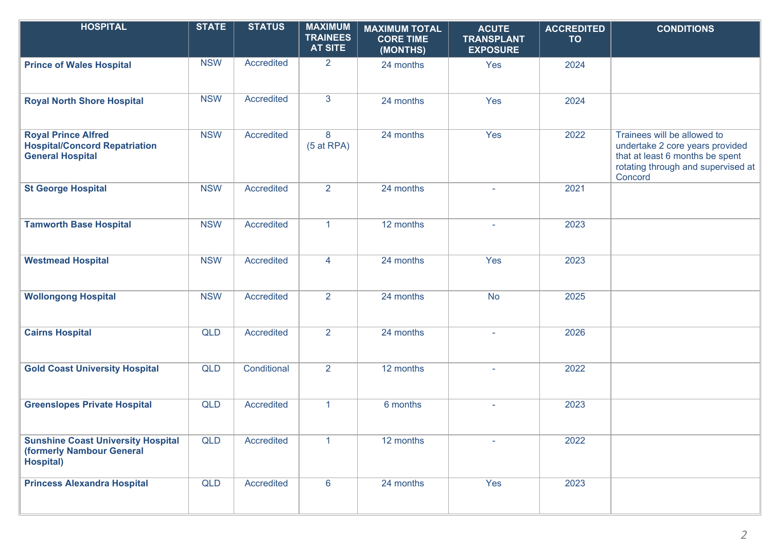| <b>HOSPITAL</b>                                                                               | <b>STATE</b> | <b>STATUS</b>     | <b>MAXIMUM</b><br><b>TRAINEES</b><br><b>AT SITE</b> | <b>MAXIMUM TOTAL</b><br><b>CORE TIME</b><br>(MONTHS) | <b>ACUTE</b><br><b>TRANSPLANT</b><br><b>EXPOSURE</b> | <b>ACCREDITED</b><br><b>TO</b> | <b>CONDITIONS</b>                                                                                                                                  |
|-----------------------------------------------------------------------------------------------|--------------|-------------------|-----------------------------------------------------|------------------------------------------------------|------------------------------------------------------|--------------------------------|----------------------------------------------------------------------------------------------------------------------------------------------------|
| <b>Prince of Wales Hospital</b>                                                               | <b>NSW</b>   | Accredited        | 2 <sup>1</sup>                                      | 24 months                                            | Yes                                                  | 2024                           |                                                                                                                                                    |
| <b>Royal North Shore Hospital</b>                                                             | <b>NSW</b>   | Accredited        | $\mathbf{3}$                                        | 24 months                                            | Yes                                                  | 2024                           |                                                                                                                                                    |
| <b>Royal Prince Alfred</b><br><b>Hospital/Concord Repatriation</b><br><b>General Hospital</b> | <b>NSW</b>   | Accredited        | 8<br>$(5$ at RPA)                                   | 24 months                                            | Yes                                                  | 2022                           | Trainees will be allowed to<br>undertake 2 core years provided<br>that at least 6 months be spent<br>rotating through and supervised at<br>Concord |
| <b>St George Hospital</b>                                                                     | <b>NSW</b>   | Accredited        | 2 <sup>1</sup>                                      | 24 months                                            |                                                      | 2021                           |                                                                                                                                                    |
| <b>Tamworth Base Hospital</b>                                                                 | <b>NSW</b>   | Accredited        | $\mathbf{1}$                                        | 12 months                                            | $\overline{a}$                                       | 2023                           |                                                                                                                                                    |
| <b>Westmead Hospital</b>                                                                      | <b>NSW</b>   | Accredited        | $\overline{4}$                                      | 24 months                                            | Yes                                                  | 2023                           |                                                                                                                                                    |
| <b>Wollongong Hospital</b>                                                                    | <b>NSW</b>   | Accredited        | $\overline{2}$                                      | 24 months                                            | <b>No</b>                                            | 2025                           |                                                                                                                                                    |
| <b>Cairns Hospital</b>                                                                        | <b>QLD</b>   | Accredited        | $\overline{2}$                                      | 24 months                                            |                                                      | 2026                           |                                                                                                                                                    |
| <b>Gold Coast University Hospital</b>                                                         | <b>QLD</b>   | Conditional       | $\overline{2}$                                      | 12 months                                            | i.                                                   | 2022                           |                                                                                                                                                    |
| <b>Greenslopes Private Hospital</b>                                                           | <b>QLD</b>   | Accredited        | $\blacktriangleleft$                                | 6 months                                             | $\overline{\phantom{a}}$                             | 2023                           |                                                                                                                                                    |
| <b>Sunshine Coast University Hospital</b><br>(formerly Nambour General<br><b>Hospital)</b>    | <b>QLD</b>   | <b>Accredited</b> | $\mathbf{1}$                                        | 12 months                                            |                                                      | 2022                           |                                                                                                                                                    |
| <b>Princess Alexandra Hospital</b>                                                            | <b>QLD</b>   | Accredited        | 6                                                   | 24 months                                            | Yes                                                  | 2023                           |                                                                                                                                                    |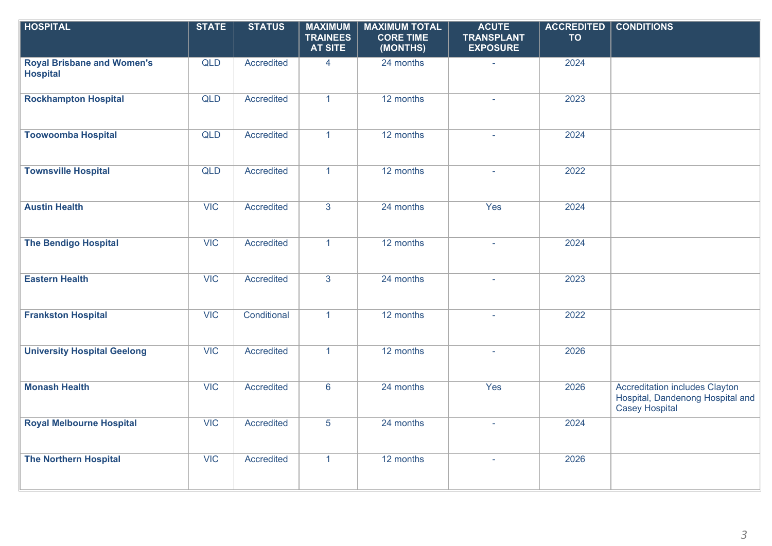| <b>HOSPITAL</b>                                      | <b>STATE</b> | <b>STATUS</b> | <b>MAXIMUM</b><br><b>TRAINEES</b><br><b>AT SITE</b> | <b>MAXIMUM TOTAL</b><br><b>CORE TIME</b><br>(MONTHS) | <b>ACUTE</b><br><b>TRANSPLANT</b><br><b>EXPOSURE</b> | <b>ACCREDITED</b><br><b>TO</b> | <b>CONDITIONS</b>                                                                                  |
|------------------------------------------------------|--------------|---------------|-----------------------------------------------------|------------------------------------------------------|------------------------------------------------------|--------------------------------|----------------------------------------------------------------------------------------------------|
| <b>Royal Brisbane and Women's</b><br><b>Hospital</b> | <b>QLD</b>   | Accredited    | $\overline{4}$                                      | 24 months                                            | $\sim$                                               | 2024                           |                                                                                                    |
| <b>Rockhampton Hospital</b>                          | <b>QLD</b>   | Accredited    | $\mathbf{1}$                                        | 12 months                                            |                                                      | 2023                           |                                                                                                    |
| <b>Toowoomba Hospital</b>                            | <b>QLD</b>   | Accredited    | $\mathbf{1}$                                        | 12 months                                            | L.                                                   | 2024                           |                                                                                                    |
| <b>Townsville Hospital</b>                           | QLD          | Accredited    | $\mathbf{1}$                                        | 12 months                                            | $\omega$                                             | 2022                           |                                                                                                    |
| <b>Austin Health</b>                                 | <b>VIC</b>   | Accredited    | 3                                                   | 24 months                                            | Yes                                                  | 2024                           |                                                                                                    |
| <b>The Bendigo Hospital</b>                          | <b>VIC</b>   | Accredited    | $\mathbf{1}$                                        | 12 months                                            | $\mathbf{r}$                                         | 2024                           |                                                                                                    |
| <b>Eastern Health</b>                                | <b>VIC</b>   | Accredited    | $\mathbf{3}$                                        | 24 months                                            | $\omega$                                             | 2023                           |                                                                                                    |
| <b>Frankston Hospital</b>                            | VIC          | Conditional   | $\mathbf{1}$                                        | 12 months                                            |                                                      | 2022                           |                                                                                                    |
| <b>University Hospital Geelong</b>                   | <b>VIC</b>   | Accredited    | $\mathbf{1}$                                        | 12 months                                            | ä,                                                   | 2026                           |                                                                                                    |
| <b>Monash Health</b>                                 | <b>VIC</b>   | Accredited    | $6\phantom{1}$                                      | 24 months                                            | Yes                                                  | 2026                           | <b>Accreditation includes Clayton</b><br>Hospital, Dandenong Hospital and<br><b>Casey Hospital</b> |
| <b>Royal Melbourne Hospital</b>                      | <b>VIC</b>   | Accredited    | 5                                                   | 24 months                                            |                                                      | 2024                           |                                                                                                    |
| <b>The Northern Hospital</b>                         | <b>VIC</b>   | Accredited    | $\mathbf{1}$                                        | 12 months                                            |                                                      | 2026                           |                                                                                                    |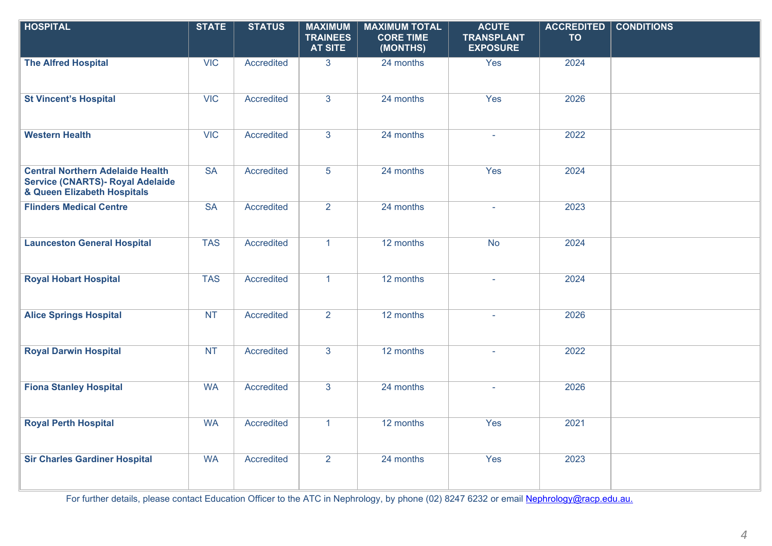| <b>HOSPITAL</b>                                                                                                   | <b>STATE</b>           | <b>STATUS</b> | <b>MAXIMUM</b><br><b>TRAINEES</b><br><b>AT SITE</b> | <b>MAXIMUM TOTAL</b><br><b>CORE TIME</b><br>(MONTHS) | <b>ACUTE</b><br><b>TRANSPLANT</b><br><b>EXPOSURE</b> | <b>ACCREDITED</b><br><b>TO</b> | <b>CONDITIONS</b> |
|-------------------------------------------------------------------------------------------------------------------|------------------------|---------------|-----------------------------------------------------|------------------------------------------------------|------------------------------------------------------|--------------------------------|-------------------|
| <b>The Alfred Hospital</b>                                                                                        | <b>VIC</b>             | Accredited    | 3 <sup>1</sup>                                      | 24 months                                            | Yes                                                  | 2024                           |                   |
| <b>St Vincent's Hospital</b>                                                                                      | <b>VIC</b>             | Accredited    | $\overline{3}$                                      | 24 months                                            | Yes                                                  | 2026                           |                   |
| <b>Western Health</b>                                                                                             | <b>VIC</b>             | Accredited    | $\overline{3}$                                      | 24 months                                            | $\equiv$                                             | 2022                           |                   |
| <b>Central Northern Adelaide Health</b><br><b>Service (CNARTS)- Royal Adelaide</b><br>& Queen Elizabeth Hospitals | <b>SA</b>              | Accredited    | 5                                                   | 24 months                                            | Yes                                                  | 2024                           |                   |
| <b>Flinders Medical Centre</b>                                                                                    | $\overline{\text{SA}}$ | Accredited    | $\overline{2}$                                      | 24 months                                            | ÷.                                                   | 2023                           |                   |
| <b>Launceston General Hospital</b>                                                                                | <b>TAS</b>             | Accredited    | $\mathbf{1}$                                        | 12 months                                            | <b>No</b>                                            | 2024                           |                   |
| <b>Royal Hobart Hospital</b>                                                                                      | <b>TAS</b>             | Accredited    | $\mathbf{1}$                                        | 12 months                                            | $\omega$                                             | 2024                           |                   |
| <b>Alice Springs Hospital</b>                                                                                     | <b>NT</b>              | Accredited    | $\overline{2}$                                      | 12 months                                            |                                                      | 2026                           |                   |
| <b>Royal Darwin Hospital</b>                                                                                      | <b>NT</b>              | Accredited    | $\overline{3}$                                      | 12 months                                            | a.                                                   | 2022                           |                   |
| <b>Fiona Stanley Hospital</b>                                                                                     | <b>WA</b>              | Accredited    | $\overline{3}$                                      | 24 months                                            | $\omega$                                             | 2026                           |                   |
| <b>Royal Perth Hospital</b>                                                                                       | <b>WA</b>              | Accredited    | $\mathbf{1}$                                        | 12 months                                            | Yes                                                  | 2021                           |                   |
| <b>Sir Charles Gardiner Hospital</b>                                                                              | <b>WA</b>              | Accredited    | $\overline{2}$                                      | 24 months                                            | Yes                                                  | 2023                           |                   |

For further details, please contact Education Officer to the ATC in Nephrology, by phone (02) 8247 6232 or email [Nephrology@racp.edu.au.](mailto:Nephrology@racp.edu.au)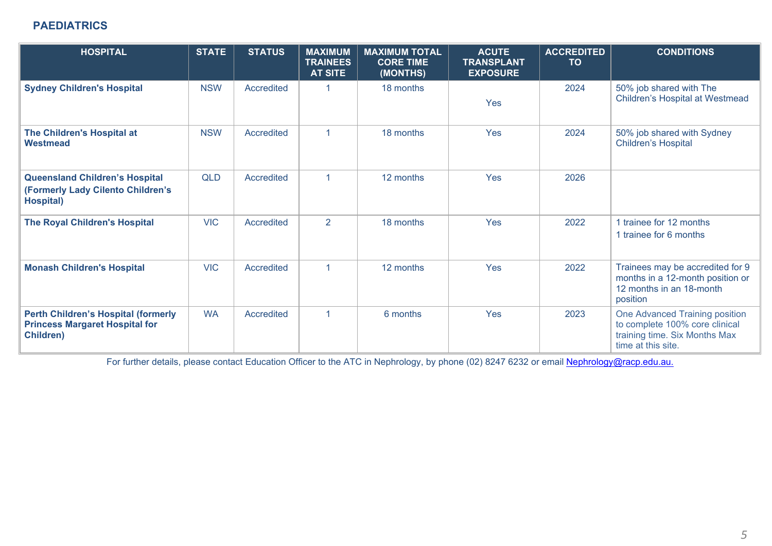## **PAEDIATRICS**

| <b>HOSPITAL</b>                                                                                         | <b>STATE</b> | <b>STATUS</b> | <b>MAXIMUM</b><br><b>TRAINEES</b><br><b>AT SITE</b> | <b>MAXIMUM TOTAL</b><br><b>CORE TIME</b><br>(MONTHS) | <b>ACUTE</b><br><b>TRANSPLANT</b><br><b>EXPOSURE</b> | <b>ACCREDITED</b><br><b>TO</b> | <b>CONDITIONS</b>                                                                                                       |
|---------------------------------------------------------------------------------------------------------|--------------|---------------|-----------------------------------------------------|------------------------------------------------------|------------------------------------------------------|--------------------------------|-------------------------------------------------------------------------------------------------------------------------|
| <b>Sydney Children's Hospital</b>                                                                       | <b>NSW</b>   | Accredited    | 1                                                   | 18 months                                            | Yes                                                  | 2024                           | 50% job shared with The<br><b>Children's Hospital at Westmead</b>                                                       |
| The Children's Hospital at<br>Westmead                                                                  | <b>NSW</b>   | Accredited    | $\blacktriangleleft$                                | 18 months                                            | Yes                                                  | 2024                           | 50% job shared with Sydney<br><b>Children's Hospital</b>                                                                |
| <b>Queensland Children's Hospital</b><br>(Formerly Lady Cilento Children's<br><b>Hospital</b> )         | <b>QLD</b>   | Accredited    | $\blacktriangleleft$                                | 12 months                                            | Yes                                                  | 2026                           |                                                                                                                         |
| The Royal Children's Hospital                                                                           | <b>VIC</b>   | Accredited    | $\overline{2}$                                      | 18 months                                            | Yes                                                  | 2022                           | 1 trainee for 12 months<br>1 trainee for 6 months                                                                       |
| <b>Monash Children's Hospital</b>                                                                       | <b>VIC</b>   | Accredited    | $\blacktriangleleft$                                | 12 months                                            | Yes                                                  | 2022                           | Trainees may be accredited for 9<br>months in a 12-month position or<br>12 months in an 18-month<br>position            |
| <b>Perth Children's Hospital (formerly</b><br><b>Princess Margaret Hospital for</b><br><b>Children)</b> | <b>WA</b>    | Accredited    | $\blacktriangleleft$                                | 6 months                                             | Yes                                                  | 2023                           | One Advanced Training position<br>to complete 100% core clinical<br>training time. Six Months Max<br>time at this site. |

For further details, please contact Education Officer to the ATC in Nephrology, by phone (02) 8247 6232 or email [Nephrology@racp.edu.au.](mailto:Nephrology@racp.edu.au)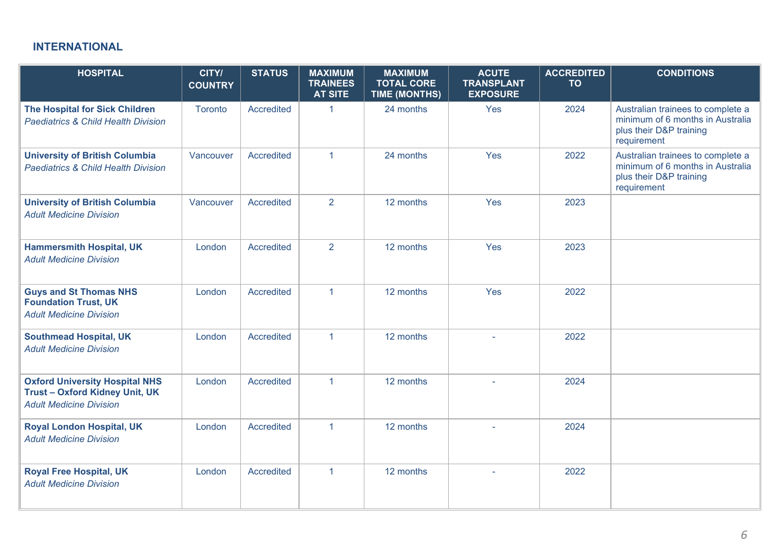## **INTERNATIONAL**

| <b>HOSPITAL</b>                                                                                                | CITY/<br><b>COUNTRY</b> | <b>STATUS</b>     | <b>MAXIMUM</b><br><b>TRAINEES</b><br><b>AT SITE</b> | <b>MAXIMUM</b><br><b>TOTAL CORE</b><br><b>TIME (MONTHS)</b> | <b>ACUTE</b><br><b>TRANSPLANT</b><br><b>EXPOSURE</b> | <b>ACCREDITED</b><br><b>TO</b> | <b>CONDITIONS</b>                                                                                               |
|----------------------------------------------------------------------------------------------------------------|-------------------------|-------------------|-----------------------------------------------------|-------------------------------------------------------------|------------------------------------------------------|--------------------------------|-----------------------------------------------------------------------------------------------------------------|
| <b>The Hospital for Sick Children</b><br><b>Paediatrics &amp; Child Health Division</b>                        | Toronto                 | Accredited        | $\mathbf{1}$                                        | 24 months                                                   | Yes                                                  | 2024                           | Australian trainees to complete a<br>minimum of 6 months in Australia<br>plus their D&P training<br>requirement |
| <b>University of British Columbia</b><br><b>Paediatrics &amp; Child Health Division</b>                        | Vancouver               | <b>Accredited</b> | $\mathbf{1}$                                        | 24 months                                                   | Yes                                                  | 2022                           | Australian trainees to complete a<br>minimum of 6 months in Australia<br>plus their D&P training<br>requirement |
| <b>University of British Columbia</b><br><b>Adult Medicine Division</b>                                        | Vancouver               | Accredited        | 2                                                   | 12 months                                                   | Yes                                                  | 2023                           |                                                                                                                 |
| <b>Hammersmith Hospital, UK</b><br><b>Adult Medicine Division</b>                                              | London                  | Accredited        | 2                                                   | 12 months                                                   | Yes                                                  | 2023                           |                                                                                                                 |
| <b>Guys and St Thomas NHS</b><br><b>Foundation Trust, UK</b><br><b>Adult Medicine Division</b>                 | London                  | <b>Accredited</b> | $\mathbf{1}$                                        | 12 months                                                   | Yes                                                  | 2022                           |                                                                                                                 |
| <b>Southmead Hospital, UK</b><br><b>Adult Medicine Division</b>                                                | London                  | Accredited        | $\mathbf{1}$                                        | 12 months                                                   |                                                      | 2022                           |                                                                                                                 |
| <b>Oxford University Hospital NHS</b><br><b>Trust-Oxford Kidney Unit, UK</b><br><b>Adult Medicine Division</b> | London                  | Accredited        | $\mathbf{1}$                                        | 12 months                                                   |                                                      | 2024                           |                                                                                                                 |
| <b>Royal London Hospital, UK</b><br><b>Adult Medicine Division</b>                                             | London                  | Accredited        | $\mathbf{1}$                                        | 12 months                                                   |                                                      | 2024                           |                                                                                                                 |
| <b>Royal Free Hospital, UK</b><br><b>Adult Medicine Division</b>                                               | London                  | Accredited        | $\mathbf{1}$                                        | 12 months                                                   | $\sim$                                               | 2022                           |                                                                                                                 |